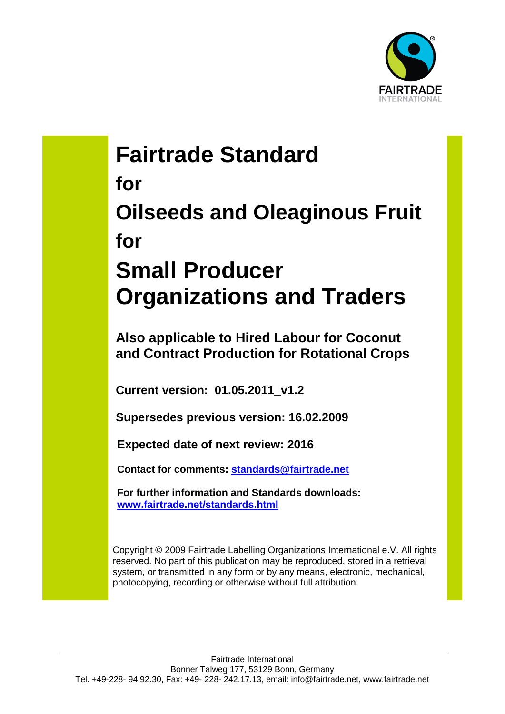

# **Fairtrade Standard for Oilseeds and Oleaginous Fruit for Small Producer Organizations and Traders**

**Also applicable to Hired Labour for Coconut and Contract Production for Rotational Crops**

**Current version: 01.05.2011\_v1.2**

**Supersedes previous version: 16.02.2009**

**Expected date of next review: 2016**

**Contact for comments: [standards@fairtrade.net](mailto:standards@fairtrade.net)**

**For further information and Standards downloads: [www.fairtrade.net/standards.html](http://www.fairtrade.net/standards.html)**

Copyright © 2009 Fairtrade Labelling Organizations International e.V. All rights reserved. No part of this publication may be reproduced, stored in a retrieval system, or transmitted in any form or by any means, electronic, mechanical, photocopying, recording or otherwise without full attribution.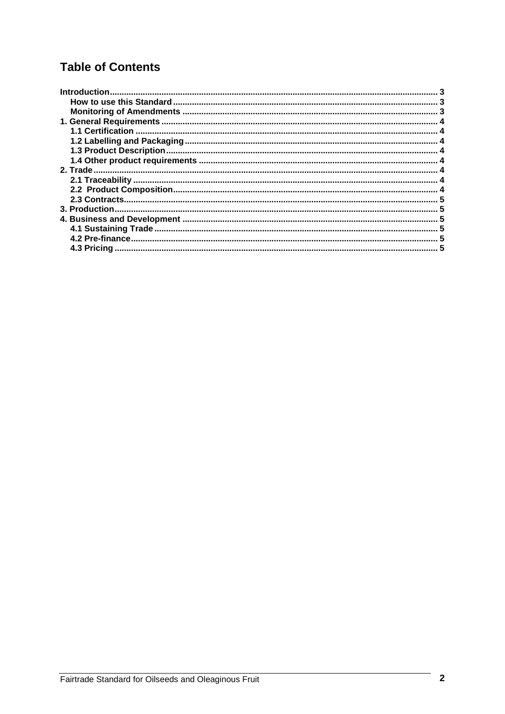# **Table of Contents**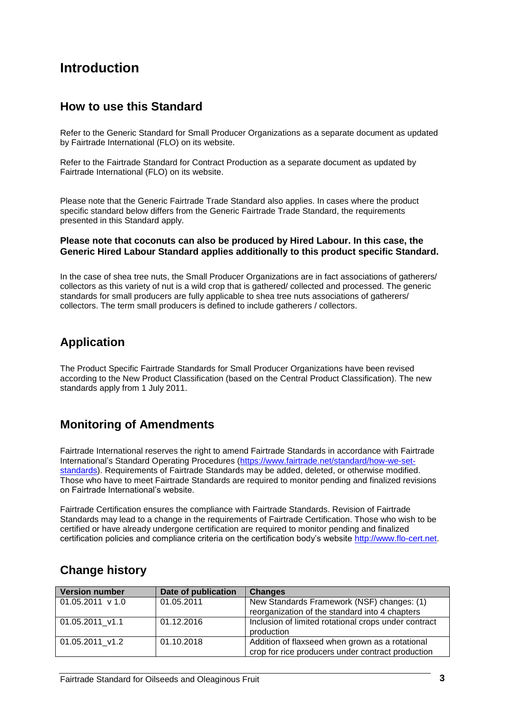# <span id="page-2-0"></span>**Introduction**

#### <span id="page-2-1"></span>**How to use this Standard**

Refer to the Generic Standard for Small Producer Organizations as a separate document as updated by Fairtrade International (FLO) on its website.

Refer to the Fairtrade Standard for Contract Production as a separate document as updated by Fairtrade International (FLO) on its website.

Please note that the Generic Fairtrade Trade Standard also applies. In cases where the product specific standard below differs from the Generic Fairtrade Trade Standard, the requirements presented in this Standard apply.

#### **Please note that coconuts can also be produced by Hired Labour. In this case, the Generic Hired Labour Standard applies additionally to this product specific Standard.**

In the case of shea tree nuts, the Small Producer Organizations are in fact associations of gatherers/ collectors as this variety of nut is a wild crop that is gathered/ collected and processed. The generic standards for small producers are fully applicable to shea tree nuts associations of gatherers/ collectors. The term small producers is defined to include gatherers / collectors.

## **Application**

The Product Specific Fairtrade Standards for Small Producer Organizations have been revised according to the New Product Classification (based on the Central Product Classification). The new standards apply from 1 July 2011.

## <span id="page-2-2"></span>**Monitoring of Amendments**

Fairtrade International reserves the right to amend Fairtrade Standards in accordance with Fairtrade International's Standard Operating Procedures [\(https://www.fairtrade.net/standard/how-we-set](https://www.fairtrade.net/standard/how-we-set-standards)[standards\)](https://www.fairtrade.net/standard/how-we-set-standards). Requirements of Fairtrade Standards may be added, deleted, or otherwise modified. Those who have to meet Fairtrade Standards are required to monitor pending and finalized revisions on Fairtrade International's website.

Fairtrade Certification ensures the compliance with Fairtrade Standards. Revision of Fairtrade Standards may lead to a change in the requirements of Fairtrade Certification. Those who wish to be certified or have already undergone certification are required to monitor pending and finalized certification policies and compliance criteria on the certification body's website [http://www.flo-cert.net.](http://www.flo-cert.net/)

| <b>Version number</b> | Date of publication | <b>Changes</b>                                                                                       |
|-----------------------|---------------------|------------------------------------------------------------------------------------------------------|
| $01.05.2011$ v 1.0    | 01.05.2011          | New Standards Framework (NSF) changes: (1)<br>reorganization of the standard into 4 chapters         |
| 01.05.2011 v1.1       | 01.12.2016          | Inclusion of limited rotational crops under contract<br>production                                   |
| 01.05.2011 v1.2       | 01.10.2018          | Addition of flaxseed when grown as a rotational<br>crop for rice producers under contract production |

## **Change history**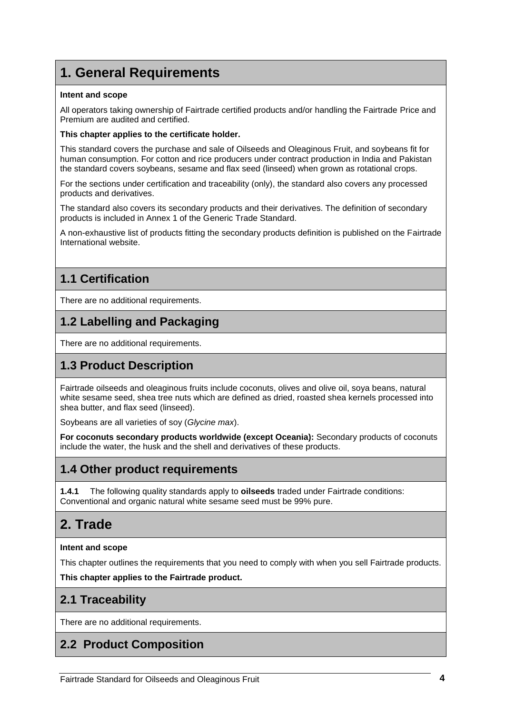# <span id="page-3-0"></span>**1. General Requirements**

#### **Intent and scope**

All operators taking ownership of Fairtrade certified products and/or handling the Fairtrade Price and Premium are audited and certified.

#### **This chapter applies to the certificate holder.**

This standard covers the purchase and sale of Oilseeds and Oleaginous Fruit, and soybeans fit for human consumption. For cotton and rice producers under contract production in India and Pakistan the standard covers soybeans, sesame and flax seed (linseed) when grown as rotational crops.

For the sections under certification and traceability (only), the standard also covers any processed products and derivatives.

The standard also covers its secondary products and their derivatives. The definition of secondary products is included in Annex 1 of the Generic Trade Standard.

A non-exhaustive list of products fitting the secondary products definition is published on the Fairtrade International website.

## <span id="page-3-1"></span>**1.1 Certification**

There are no additional requirements.

## <span id="page-3-2"></span>**1.2 Labelling and Packaging**

There are no additional requirements.

## <span id="page-3-3"></span>**1.3 Product Description**

Fairtrade oilseeds and oleaginous fruits include coconuts, olives and olive oil, soya beans, natural white sesame seed, shea tree nuts which are defined as dried, roasted shea kernels processed into shea butter, and flax seed (linseed).

Soybeans are all varieties of soy (*Glycine max*).

**For coconuts secondary products worldwide (except Oceania):** Secondary products of coconuts include the water, the husk and the shell and derivatives of these products.

## <span id="page-3-4"></span>**1.4 Other product requirements**

**1.4.1** The following quality standards apply to **oilseeds** traded under Fairtrade conditions: Conventional and organic natural white sesame seed must be 99% pure.

# <span id="page-3-5"></span>**2. Trade**

#### **Intent and scope**

This chapter outlines the requirements that you need to comply with when you sell Fairtrade products.

**This chapter applies to the Fairtrade product.**

## <span id="page-3-6"></span>**2.1 Traceability**

There are no additional requirements.

## <span id="page-3-7"></span>**2.2 Product Composition**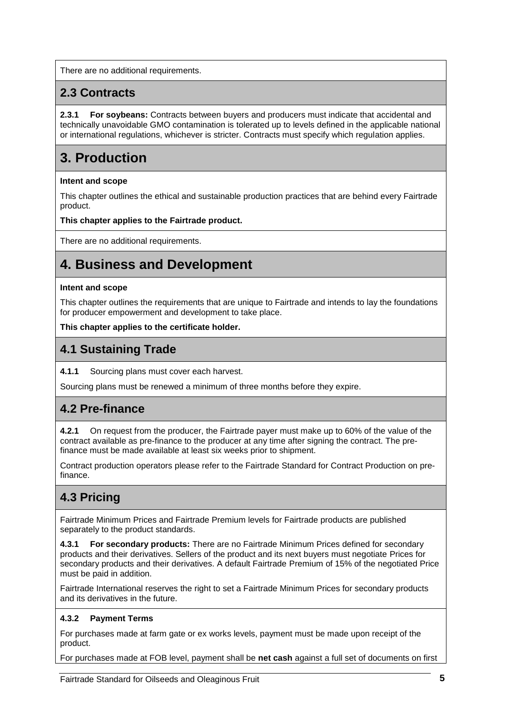There are no additional requirements.

## <span id="page-4-0"></span>**2.3 Contracts**

**2.3.1 For soybeans:** Contracts between buyers and producers must indicate that accidental and technically unavoidable GMO contamination is tolerated up to levels defined in the applicable national or international regulations, whichever is stricter. Contracts must specify which regulation applies.

# <span id="page-4-1"></span>**3. Production**

#### **Intent and scope**

This chapter outlines the ethical and sustainable production practices that are behind every Fairtrade product.

#### **This chapter applies to the Fairtrade product.**

There are no additional requirements.

# <span id="page-4-2"></span>**4. Business and Development**

#### **Intent and scope**

This chapter outlines the requirements that are unique to Fairtrade and intends to lay the foundations for producer empowerment and development to take place.

#### **This chapter applies to the certificate holder.**

## <span id="page-4-3"></span>**4.1 Sustaining Trade**

**4.1.1** Sourcing plans must cover each harvest.

Sourcing plans must be renewed a minimum of three months before they expire.

## <span id="page-4-4"></span>**4.2 Pre-finance**

**4.2.1** On request from the producer, the Fairtrade payer must make up to 60% of the value of the contract available as pre-finance to the producer at any time after signing the contract. The prefinance must be made available at least six weeks prior to shipment.

Contract production operators please refer to the Fairtrade Standard for Contract Production on prefinance.

## <span id="page-4-5"></span>**4.3 Pricing**

Fairtrade Minimum Prices and Fairtrade Premium levels for Fairtrade products are published separately to the product standards.

**4.3.1 For secondary products:** There are no Fairtrade Minimum Prices defined for secondary products and their derivatives. Sellers of the product and its next buyers must negotiate Prices for secondary products and their derivatives. A default Fairtrade Premium of 15% of the negotiated Price must be paid in addition.

Fairtrade International reserves the right to set a Fairtrade Minimum Prices for secondary products and its derivatives in the future.

#### **4.3.2 Payment Terms**

For purchases made at farm gate or ex works levels, payment must be made upon receipt of the product.

For purchases made at FOB level, payment shall be **net cash** against a full set of documents on first